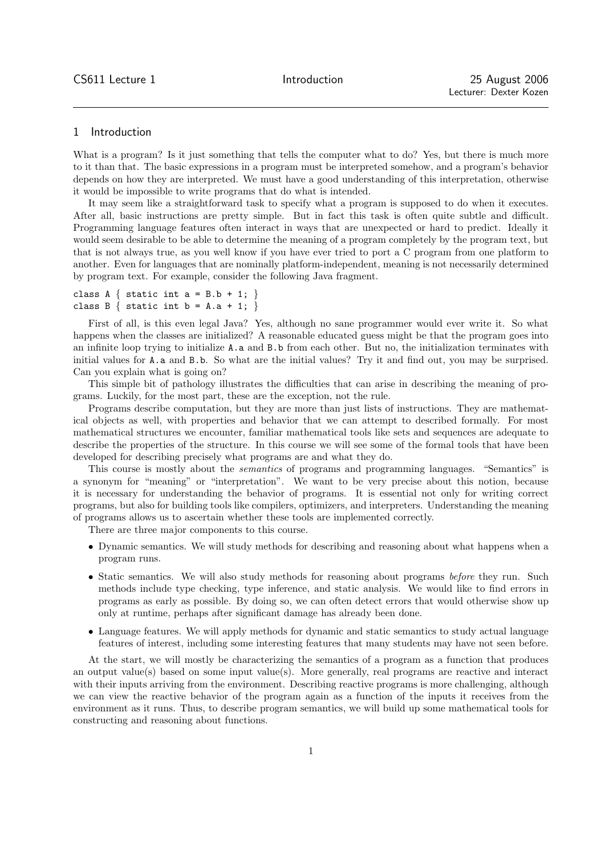# 1 Introduction

What is a program? Is it just something that tells the computer what to do? Yes, but there is much more to it than that. The basic expressions in a program must be interpreted somehow, and a program's behavior depends on how they are interpreted. We must have a good understanding of this interpretation, otherwise it would be impossible to write programs that do what is intended.

It may seem like a straightforward task to specify what a program is supposed to do when it executes. After all, basic instructions are pretty simple. But in fact this task is often quite subtle and difficult. Programming language features often interact in ways that are unexpected or hard to predict. Ideally it would seem desirable to be able to determine the meaning of a program completely by the program text, but that is not always true, as you well know if you have ever tried to port a C program from one platform to another. Even for languages that are nominally platform-independent, meaning is not necessarily determined by program text. For example, consider the following Java fragment.

```
class A \{ static int a = B.b + 1; \}class B \{ static int b = A.a + 1; \}
```
First of all, is this even legal Java? Yes, although no sane programmer would ever write it. So what happens when the classes are initialized? A reasonable educated guess might be that the program goes into an infinite loop trying to initialize A.a and B.b from each other. But no, the initialization terminates with initial values for A.a and B.b. So what are the initial values? Try it and find out, you may be surprised. Can you explain what is going on?

This simple bit of pathology illustrates the difficulties that can arise in describing the meaning of programs. Luckily, for the most part, these are the exception, not the rule.

Programs describe computation, but they are more than just lists of instructions. They are mathematical objects as well, with properties and behavior that we can attempt to described formally. For most mathematical structures we encounter, familiar mathematical tools like sets and sequences are adequate to describe the properties of the structure. In this course we will see some of the formal tools that have been developed for describing precisely what programs are and what they do.

This course is mostly about the semantics of programs and programming languages. "Semantics" is a synonym for "meaning" or "interpretation". We want to be very precise about this notion, because it is necessary for understanding the behavior of programs. It is essential not only for writing correct programs, but also for building tools like compilers, optimizers, and interpreters. Understanding the meaning of programs allows us to ascertain whether these tools are implemented correctly.

There are three major components to this course.

- Dynamic semantics. We will study methods for describing and reasoning about what happens when a program runs.
- Static semantics. We will also study methods for reasoning about programs *before* they run. Such methods include type checking, type inference, and static analysis. We would like to find errors in programs as early as possible. By doing so, we can often detect errors that would otherwise show up only at runtime, perhaps after significant damage has already been done.
- Language features. We will apply methods for dynamic and static semantics to study actual language features of interest, including some interesting features that many students may have not seen before.

At the start, we will mostly be characterizing the semantics of a program as a function that produces an output value(s) based on some input value(s). More generally, real programs are reactive and interact with their inputs arriving from the environment. Describing reactive programs is more challenging, although we can view the reactive behavior of the program again as a function of the inputs it receives from the environment as it runs. Thus, to describe program semantics, we will build up some mathematical tools for constructing and reasoning about functions.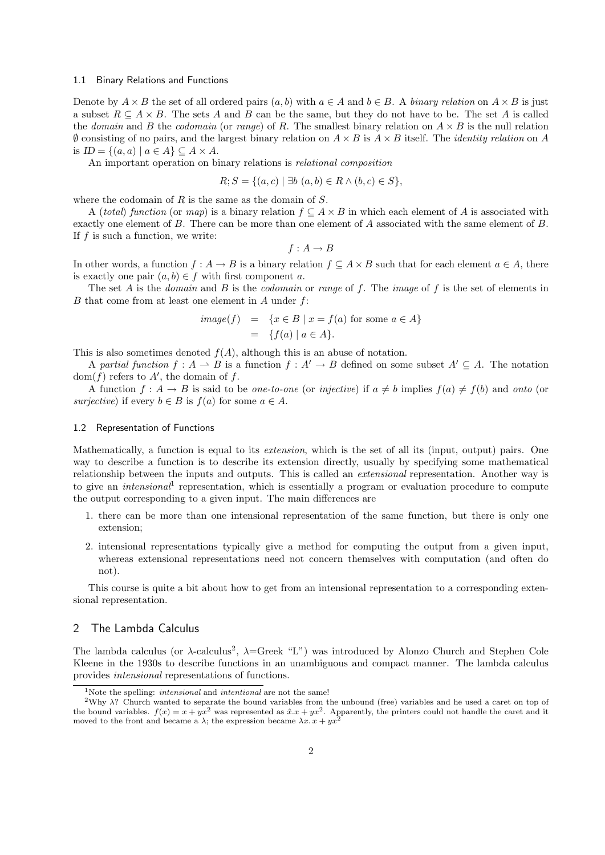#### 1.1 Binary Relations and Functions

Denote by  $A \times B$  the set of all ordered pairs  $(a, b)$  with  $a \in A$  and  $b \in B$ . A binary relation on  $A \times B$  is just a subset  $R \subseteq A \times B$ . The sets A and B can be the same, but they do not have to be. The set A is called the domain and B the codomain (or range) of R. The smallest binary relation on  $A \times B$  is the null relation  $\emptyset$  consisting of no pairs, and the largest binary relation on  $A \times B$  is  $A \times B$  itself. The *identity relation* on A is  $ID = \{(a, a) \mid a \in A\} \subseteq A \times A$ .

An important operation on binary relations is relational composition

$$
R; S = \{(a, c) \mid \exists b \ (a, b) \in R \land (b, c) \in S\},
$$

where the codomain of  $R$  is the same as the domain of  $S$ .

A (total) function (or map) is a binary relation  $f \subseteq A \times B$  in which each element of A is associated with exactly one element of B. There can be more than one element of A associated with the same element of B. If  $f$  is such a function, we write:

$$
f:A\to B
$$

In other words, a function  $f : A \to B$  is a binary relation  $f \subset A \times B$  such that for each element  $a \in A$ , there is exactly one pair  $(a, b) \in f$  with first component a.

The set A is the *domain* and B is the *codomain* or range of f. The *image* of f is the set of elements in  $B$  that come from at least one element in  $A$  under  $f$ :

$$
image(f) = \{x \in B \mid x = f(a) \text{ for some } a \in A\}
$$

$$
= \{f(a) \mid a \in A\}.
$$

This is also sometimes denoted  $f(A)$ , although this is an abuse of notation.

A partial function  $f : A \to B$  is a function  $f : A' \to B$  defined on some subset  $A' \subseteq A$ . The notation  $dom(f)$  refers to A', the domain of f.

A function  $f : A \to B$  is said to be *one-to-one* (or *injective*) if  $a \neq b$  implies  $f(a) \neq f(b)$  and *onto* (or surjective) if every  $b \in B$  is  $f(a)$  for some  $a \in A$ .

#### 1.2 Representation of Functions

Mathematically, a function is equal to its extension, which is the set of all its (input, output) pairs. One way to describe a function is to describe its extension directly, usually by specifying some mathematical relationship between the inputs and outputs. This is called an extensional representation. Another way is to give an *intensional*<sup>1</sup> representation, which is essentially a program or evaluation procedure to compute the output corresponding to a given input. The main differences are

- 1. there can be more than one intensional representation of the same function, but there is only one extension;
- 2. intensional representations typically give a method for computing the output from a given input, whereas extensional representations need not concern themselves with computation (and often do not).

This course is quite a bit about how to get from an intensional representation to a corresponding extensional representation.

## 2 The Lambda Calculus

The lambda calculus (or  $\lambda$ -calculus<sup>2</sup>,  $\lambda$ =Greek "L") was introduced by Alonzo Church and Stephen Cole Kleene in the 1930s to describe functions in an unambiguous and compact manner. The lambda calculus provides intensional representations of functions.

<sup>&</sup>lt;sup>1</sup>Note the spelling: *intensional* and *intentional* are not the same!

<sup>&</sup>lt;sup>2</sup>Why  $\lambda$ ? Church wanted to separate the bound variables from the unbound (free) variables and he used a caret on top of the bound variables.  $f(x) = x + yx^2$  was represented as  $\hat{x}.x + yx^2$ . Apparently, the printers could not handle the caret and it moved to the front and became a  $\lambda$ ; the expression became  $\lambda x \cdot x + yx^2$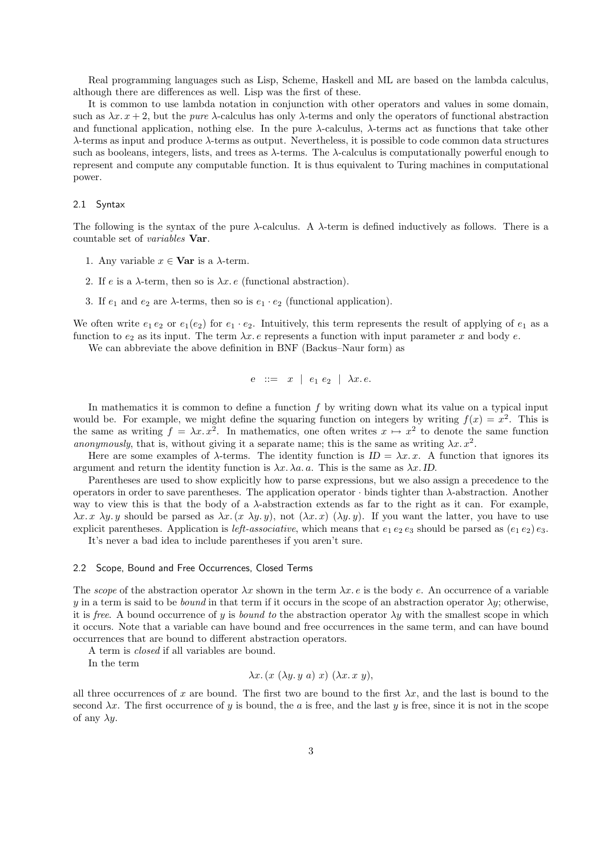Real programming languages such as Lisp, Scheme, Haskell and ML are based on the lambda calculus, although there are differences as well. Lisp was the first of these.

It is common to use lambda notation in conjunction with other operators and values in some domain, such as  $\lambda x. x + 2$ , but the *pure*  $\lambda$ -calculus has only  $\lambda$ -terms and only the operators of functional abstraction and functional application, nothing else. In the pure  $\lambda$ -calculus,  $\lambda$ -terms act as functions that take other λ-terms as input and produce λ-terms as output. Nevertheless, it is possible to code common data structures such as booleans, integers, lists, and trees as λ-terms. The λ-calculus is computationally powerful enough to represent and compute any computable function. It is thus equivalent to Turing machines in computational power.

#### 2.1 Syntax

The following is the syntax of the pure  $\lambda$ -calculus. A  $\lambda$ -term is defined inductively as follows. There is a countable set of variables Var.

- 1. Any variable  $x \in \mathbf{Var}$  is a  $\lambda$ -term.
- 2. If e is a  $\lambda$ -term, then so is  $\lambda x$ . e (functional abstraction).
- 3. If  $e_1$  and  $e_2$  are  $\lambda$ -terms, then so is  $e_1 \cdot e_2$  (functional application).

We often write  $e_1 e_2$  or  $e_1(e_2)$  for  $e_1 \tcdot e_2$ . Intuitively, this term represents the result of applying of  $e_1$  as a function to  $e_2$  as its input. The term  $\lambda x$ . e represents a function with input parameter x and body e.

We can abbreviate the above definition in BNF (Backus–Naur form) as

$$
e \ ::= x \mid e_1 \ e_2 \mid \lambda x. e.
$$

In mathematics it is common to define a function f by writing down what its value on a typical input would be. For example, we might define the squaring function on integers by writing  $f(x) = x^2$ . This is the same as writing  $f = \lambda x \cdot x^2$ . In mathematics, one often writes  $x \mapsto x^2$  to denote the same function anonymously, that is, without giving it a separate name; this is the same as writing  $\lambda x. x^2$ .

Here are some examples of  $\lambda$ -terms. The identity function is  $ID = \lambda x. x$ . A function that ignores its argument and return the identity function is  $\lambda x. \lambda a. a$ . This is the same as  $\lambda x.$  ID.

Parentheses are used to show explicitly how to parse expressions, but we also assign a precedence to the operators in order to save parentheses. The application operator  $\cdot$  binds tighter than  $\lambda$ -abstraction. Another way to view this is that the body of a  $\lambda$ -abstraction extends as far to the right as it can. For example,  $\lambda x. x \lambda y. y$  should be parsed as  $\lambda x. (x \lambda y. y)$ , not  $(\lambda x. x) (\lambda y. y)$ . If you want the latter, you have to use explicit parentheses. Application is *left-associative*, which means that  $e_1 e_2 e_3$  should be parsed as  $(e_1 e_2) e_3$ . It's never a bad idea to include parentheses if you aren't sure.

#### 2.2 Scope, Bound and Free Occurrences, Closed Terms

The scope of the abstraction operator  $\lambda x$  shown in the term  $\lambda x$ . e is the body e. An occurrence of a variable y in a term is said to be *bound* in that term if it occurs in the scope of an abstraction operator  $\lambda y$ ; otherwise, it is free. A bound occurrence of y is bound to the abstraction operator  $\lambda y$  with the smallest scope in which it occurs. Note that a variable can have bound and free occurrences in the same term, and can have bound occurrences that are bound to different abstraction operators.

A term is closed if all variables are bound.

In the term

$$
\lambda x. (x (\lambda y. y a) x) (\lambda x. x y),
$$

all three occurrences of x are bound. The first two are bound to the first  $\lambda x$ , and the last is bound to the second  $\lambda x$ . The first occurrence of y is bound, the a is free, and the last y is free, since it is not in the scope of any  $\lambda y$ .